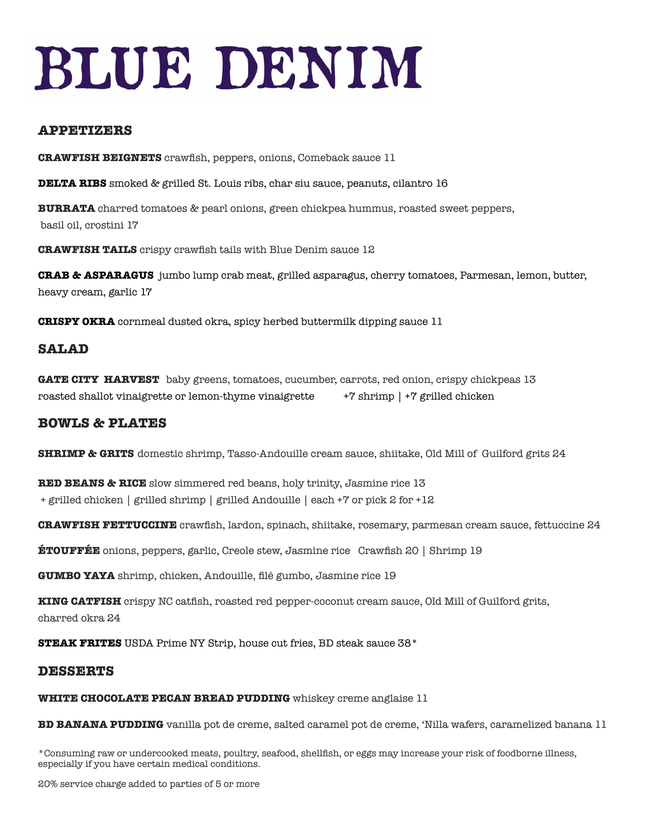# BLUE DENIM

## **APPETIZERS**

**CRAWFISH BEIGNETS** crawfish, peppers, onions, Comeback sauce 11

**DELTA RIBS** smoked & grilled St. Louis ribs, char siu sauce, peanuts, cilantro 16

**BURRATA** charred tomatoes & pearl onions, green chickpea hummus, roasted sweet peppers, basil oil, crostini 17

**CRAWFISH TAILS** crispy crawfish tails with Blue Denim sauce 12

**CRAB & ASPARAGUS** jumbo lump crab meat, grilled asparagus, cherry tomatoes, Parmesan, lemon, butter, heavy cream, garlic 17

**CRISPY OKRA** cornmeal dusted okra, spicy herbed buttermilk dipping sauce 11

# **SALAD**

**GATE CITY HARVEST** baby greens, tomatoes, cucumber, carrots, red onion, crispy chickpeas 13 roasted shallot vinaigrette or lemon-thyme vinaigrette +7 shrimp | +7 grilled chicken

## **BOWLS & PLATES**

**SHRIMP & GRITS** domestic shrimp, Tasso-Andouille cream sauce, shiitake, Old Mill of Guilford grits 24

**RED BEANS & RICE** slow simmered red beans, holy trinity, Jasmine rice 13 + grilled chicken | grilled shrimp | grilled Andouille | each +7 or pick 2 for +12

**CRAWFISH FETTUCCINE** crawfish, lardon, spinach, shiitake, rosemary, parmesan cream sauce, fettuccine 24

**ÉTOUFFÉE** onions, peppers, garlic, Creole stew, Jasmine rice Crawfish 20 | Shrimp 19

**GUMBO YAYA** shrimp, chicken, Andouille, filé gumbo, Jasmine rice 19

**KING CATFISH** crispy NC catfish, roasted red pepper-coconut cream sauce, Old Mill of Guilford grits, charred okra 24

**STEAK FRITES** USDA Prime NY Strip, house cut fries, BD steak sauce 38\*

### **DESSERTS**

**WHITE CHOCOLATE PECAN BREAD PUDDING** whiskey creme anglaise 11

**BD BANANA PUDDING** vanilla pot de creme, salted caramel pot de creme, 'Nilla wafers, caramelized banana 11

\*Consuming raw or undercooked meats, poultry, seafood, shellfish, or eggs may increase your risk of foodborne illness, especially if you have certain medical conditions.

20% service charge added to parties of 5 or more